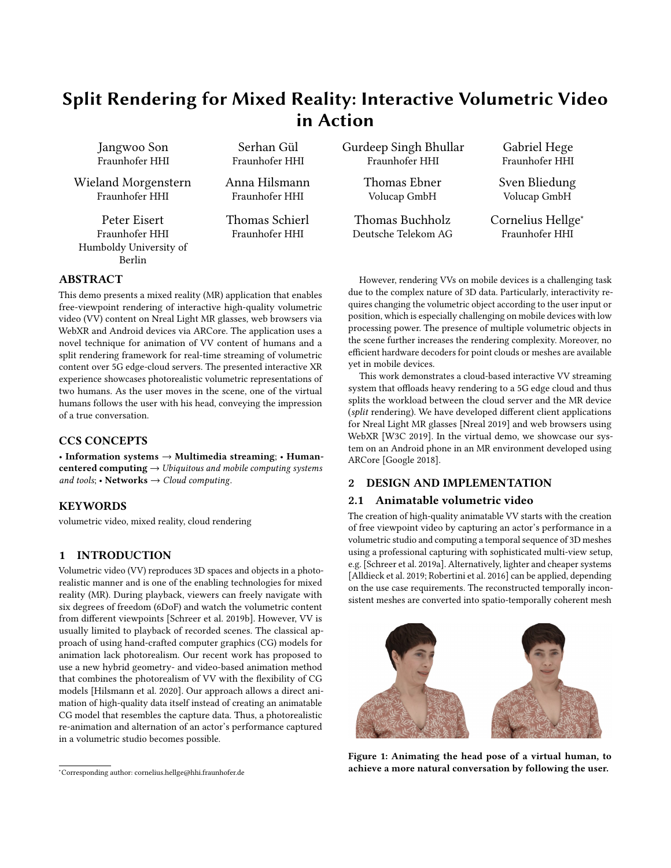# Split Rendering for Mixed Reality: Interactive Volumetric Video in Action

Jangwoo Son Fraunhofer HHI

Wieland Morgenstern Fraunhofer HHI

Peter Eisert Fraunhofer HHI Humboldy University of Berlin

Serhan Gül Fraunhofer HHI

Anna Hilsmann Fraunhofer HHI

Thomas Schierl Fraunhofer HHI

Gurdeep Singh Bhullar Fraunhofer HHI

> Thomas Ebner Volucap GmbH

Thomas Buchholz Deutsche Telekom AG

Gabriel Hege Fraunhofer HHI

Sven Bliedung Volucap GmbH

Cornelius Hellge<sup>∗</sup> Fraunhofer HHI

## ABSTRACT

This demo presents a mixed reality (MR) application that enables free-viewpoint rendering of interactive high-quality volumetric video (VV) content on Nreal Light MR glasses, web browsers via WebXR and Android devices via ARCore. The application uses a novel technique for animation of VV content of humans and a split rendering framework for real-time streaming of volumetric content over 5G edge-cloud servers. The presented interactive XR experience showcases photorealistic volumetric representations of two humans. As the user moves in the scene, one of the virtual humans follows the user with his head, conveying the impression of a true conversation.

## CCS CONCEPTS

• Information systems → Multimedia streaming; • Humancentered computing  $\rightarrow$  Ubiquitous and mobile computing systems and tools; • Networks  $\rightarrow$  Cloud computing.

## **KEYWORDS**

volumetric video, mixed reality, cloud rendering

## 1 INTRODUCTION

Volumetric video (VV) reproduces 3D spaces and objects in a photorealistic manner and is one of the enabling technologies for mixed reality (MR). During playback, viewers can freely navigate with six degrees of freedom (6DoF) and watch the volumetric content from different viewpoints [\[Schreer et al.](#page-1-0) [2019b\]](#page-1-0). However, VV is usually limited to playback of recorded scenes. The classical approach of using hand-crafted computer graphics (CG) models for animation lack photorealism. Our recent work has proposed to use a new hybrid geometry- and video-based animation method that combines the photorealism of VV with the flexibility of CG models [\[Hilsmann et al.](#page-1-1) [2020\]](#page-1-1). Our approach allows a direct animation of high-quality data itself instead of creating an animatable CG model that resembles the capture data. Thus, a photorealistic re-animation and alternation of an actor's performance captured in a volumetric studio becomes possible.

However, rendering VVs on mobile devices is a challenging task due to the complex nature of 3D data. Particularly, interactivity requires changing the volumetric object according to the user input or position, which is especially challenging on mobile devices with low processing power. The presence of multiple volumetric objects in the scene further increases the rendering complexity. Moreover, no efficient hardware decoders for point clouds or meshes are available yet in mobile devices.

This work demonstrates a cloud-based interactive VV streaming system that offloads heavy rendering to a 5G edge cloud and thus splits the workload between the cloud server and the MR device (split rendering). We have developed different client applications for Nreal Light MR glasses [\[Nreal 2019\]](#page-1-2) and web browsers using WebXR [\[W3C 2019\]](#page-1-3). In the virtual demo, we showcase our system on an Android phone in an MR environment developed using ARCore [\[Google 2018\]](#page-1-4).

## 2 DESIGN AND IMPLEMENTATION

## 2.1 Animatable volumetric video

The creation of high-quality animatable VV starts with the creation of free viewpoint video by capturing an actor's performance in a volumetric studio and computing a temporal sequence of 3D meshes using a professional capturing with sophisticated multi-view setup, e.g. [\[Schreer et al.](#page-1-5) [2019a\]](#page-1-5). Alternatively, lighter and cheaper systems [\[Alldieck et al.](#page-1-6) [2019;](#page-1-6) [Robertini et al.](#page-1-7) [2016\]](#page-1-7) can be applied, depending on the use case requirements. The reconstructed temporally inconsistent meshes are converted into spatio-temporally coherent mesh

<span id="page-0-0"></span>

Figure 1: Animating the head pose of a virtual human, to achieve a more natural conversation by following the user.

<sup>∗</sup>Corresponding author: cornelius.hellge@hhi.fraunhofer.de